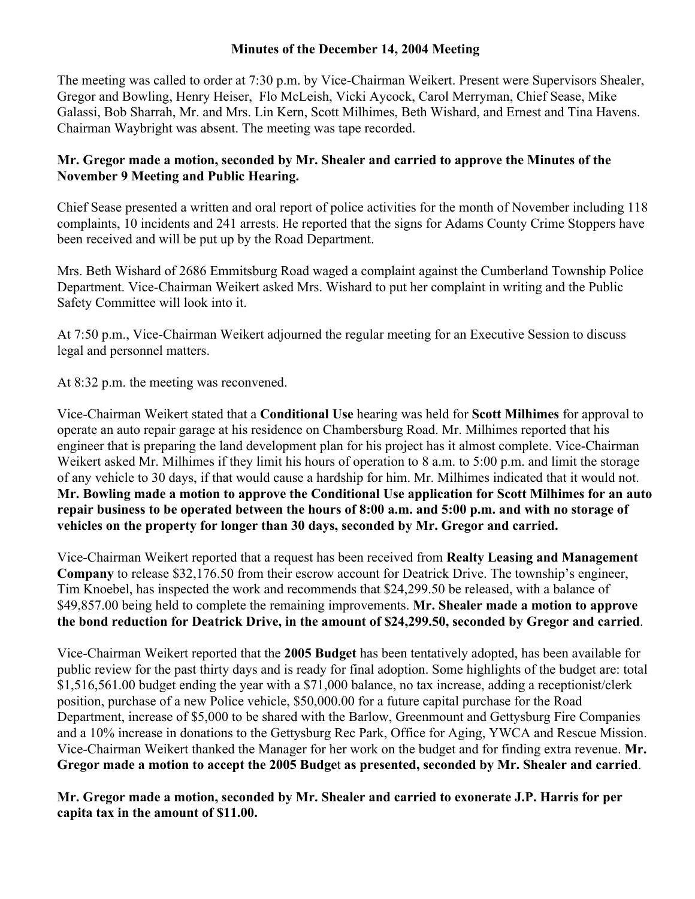## **Minutes of the December 14, 2004 Meeting**

The meeting was called to order at 7:30 p.m. by Vice-Chairman Weikert. Present were Supervisors Shealer, Gregor and Bowling, Henry Heiser, Flo McLeish, Vicki Aycock, Carol Merryman, Chief Sease, Mike Galassi, Bob Sharrah, Mr. and Mrs. Lin Kern, Scott Milhimes, Beth Wishard, and Ernest and Tina Havens. Chairman Waybright was absent. The meeting was tape recorded.

## **Mr. Gregor made a motion, seconded by Mr. Shealer and carried to approve the Minutes of the November 9 Meeting and Public Hearing.**

Chief Sease presented a written and oral report of police activities for the month of November including 118 complaints, 10 incidents and 241 arrests. He reported that the signs for Adams County Crime Stoppers have been received and will be put up by the Road Department.

Mrs. Beth Wishard of 2686 Emmitsburg Road waged a complaint against the Cumberland Township Police Department. Vice-Chairman Weikert asked Mrs. Wishard to put her complaint in writing and the Public Safety Committee will look into it.

At 7:50 p.m., Vice-Chairman Weikert adjourned the regular meeting for an Executive Session to discuss legal and personnel matters.

At 8:32 p.m. the meeting was reconvened.

Vice-Chairman Weikert stated that a **Conditional Use** hearing was held for **Scott Milhimes** for approval to operate an auto repair garage at his residence on Chambersburg Road. Mr. Milhimes reported that his engineer that is preparing the land development plan for his project has it almost complete. Vice-Chairman Weikert asked Mr. Milhimes if they limit his hours of operation to 8 a.m. to 5:00 p.m. and limit the storage of any vehicle to 30 days, if that would cause a hardship for him. Mr. Milhimes indicated that it would not. **Mr. Bowling made a motion to approve the Conditional Use application for Scott Milhimes for an auto repair business to be operated between the hours of 8:00 a.m. and 5:00 p.m. and with no storage of vehicles on the property for longer than 30 days, seconded by Mr. Gregor and carried.** 

Vice-Chairman Weikert reported that a request has been received from **Realty Leasing and Management Company** to release \$32,176.50 from their escrow account for Deatrick Drive. The township's engineer, Tim Knoebel, has inspected the work and recommends that \$24,299.50 be released, with a balance of \$49,857.00 being held to complete the remaining improvements. **Mr. Shealer made a motion to approve the bond reduction for Deatrick Drive, in the amount of \$24,299.50, seconded by Gregor and carried**.

Vice-Chairman Weikert reported that the **2005 Budget** has been tentatively adopted, has been available for public review for the past thirty days and is ready for final adoption. Some highlights of the budget are: total \$1,516,561.00 budget ending the year with a \$71,000 balance, no tax increase, adding a receptionist/clerk position, purchase of a new Police vehicle, \$50,000.00 for a future capital purchase for the Road Department, increase of \$5,000 to be shared with the Barlow, Greenmount and Gettysburg Fire Companies and a 10% increase in donations to the Gettysburg Rec Park, Office for Aging, YWCA and Rescue Mission. Vice-Chairman Weikert thanked the Manager for her work on the budget and for finding extra revenue. **Mr. Gregor made a motion to accept the 2005 Budge**t **as presented, seconded by Mr. Shealer and carried**.

**Mr. Gregor made a motion, seconded by Mr. Shealer and carried to exonerate J.P. Harris for per capita tax in the amount of \$11.00.**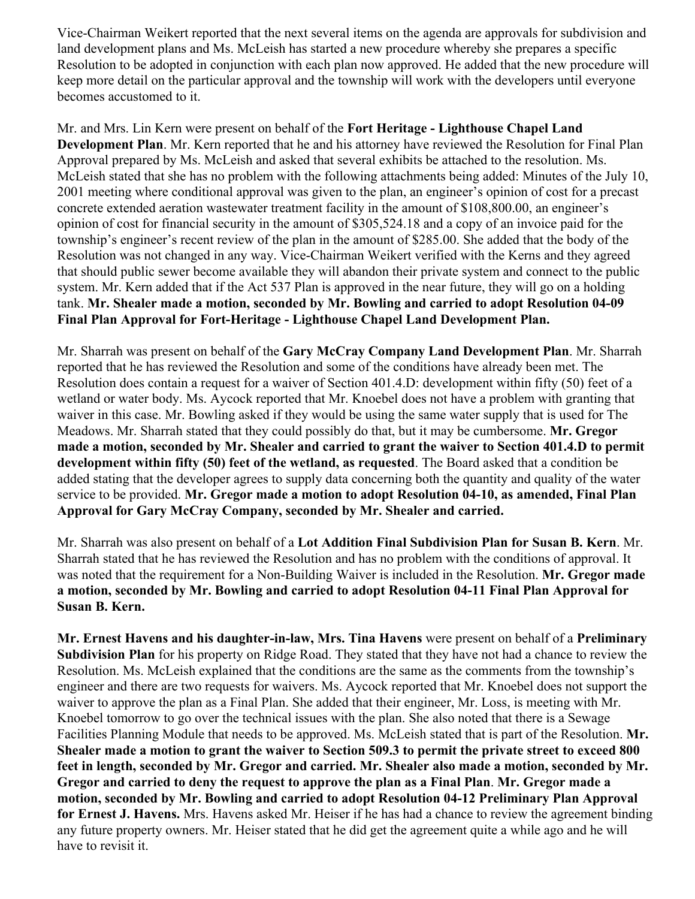Vice-Chairman Weikert reported that the next several items on the agenda are approvals for subdivision and land development plans and Ms. McLeish has started a new procedure whereby she prepares a specific Resolution to be adopted in conjunction with each plan now approved. He added that the new procedure will keep more detail on the particular approval and the township will work with the developers until everyone becomes accustomed to it.

Mr. and Mrs. Lin Kern were present on behalf of the **Fort Heritage - Lighthouse Chapel Land Development Plan**. Mr. Kern reported that he and his attorney have reviewed the Resolution for Final Plan Approval prepared by Ms. McLeish and asked that several exhibits be attached to the resolution. Ms. McLeish stated that she has no problem with the following attachments being added: Minutes of the July 10, 2001 meeting where conditional approval was given to the plan, an engineer's opinion of cost for a precast concrete extended aeration wastewater treatment facility in the amount of \$108,800.00, an engineer's opinion of cost for financial security in the amount of \$305,524.18 and a copy of an invoice paid for the township's engineer's recent review of the plan in the amount of \$285.00. She added that the body of the Resolution was not changed in any way. Vice-Chairman Weikert verified with the Kerns and they agreed that should public sewer become available they will abandon their private system and connect to the public system. Mr. Kern added that if the Act 537 Plan is approved in the near future, they will go on a holding tank. **Mr. Shealer made a motion, seconded by Mr. Bowling and carried to adopt Resolution 04-09 Final Plan Approval for Fort-Heritage - Lighthouse Chapel Land Development Plan.** 

Mr. Sharrah was present on behalf of the **Gary McCray Company Land Development Plan**. Mr. Sharrah reported that he has reviewed the Resolution and some of the conditions have already been met. The Resolution does contain a request for a waiver of Section 401.4.D: development within fifty (50) feet of a wetland or water body. Ms. Aycock reported that Mr. Knoebel does not have a problem with granting that waiver in this case. Mr. Bowling asked if they would be using the same water supply that is used for The Meadows. Mr. Sharrah stated that they could possibly do that, but it may be cumbersome. **Mr. Gregor made a motion, seconded by Mr. Shealer and carried to grant the waiver to Section 401.4.D to permit development within fifty (50) feet of the wetland, as requested**. The Board asked that a condition be added stating that the developer agrees to supply data concerning both the quantity and quality of the water service to be provided. **Mr. Gregor made a motion to adopt Resolution 04-10, as amended, Final Plan Approval for Gary McCray Company, seconded by Mr. Shealer and carried.** 

Mr. Sharrah was also present on behalf of a **Lot Addition Final Subdivision Plan for Susan B. Kern**. Mr. Sharrah stated that he has reviewed the Resolution and has no problem with the conditions of approval. It was noted that the requirement for a Non-Building Waiver is included in the Resolution. **Mr. Gregor made a motion, seconded by Mr. Bowling and carried to adopt Resolution 04-11 Final Plan Approval for Susan B. Kern.**

**Mr. Ernest Havens and his daughter-in-law, Mrs. Tina Havens** were present on behalf of a **Preliminary Subdivision Plan** for his property on Ridge Road. They stated that they have not had a chance to review the Resolution. Ms. McLeish explained that the conditions are the same as the comments from the township's engineer and there are two requests for waivers. Ms. Aycock reported that Mr. Knoebel does not support the waiver to approve the plan as a Final Plan. She added that their engineer, Mr. Loss, is meeting with Mr. Knoebel tomorrow to go over the technical issues with the plan. She also noted that there is a Sewage Facilities Planning Module that needs to be approved. Ms. McLeish stated that is part of the Resolution. **Mr. Shealer made a motion to grant the waiver to Section 509.3 to permit the private street to exceed 800 feet in length, seconded by Mr. Gregor and carried. Mr. Shealer also made a motion, seconded by Mr. Gregor and carried to deny the request to approve the plan as a Final Plan**. **Mr. Gregor made a motion, seconded by Mr. Bowling and carried to adopt Resolution 04-12 Preliminary Plan Approval for Ernest J. Havens.** Mrs. Havens asked Mr. Heiser if he has had a chance to review the agreement binding any future property owners. Mr. Heiser stated that he did get the agreement quite a while ago and he will have to revisit it.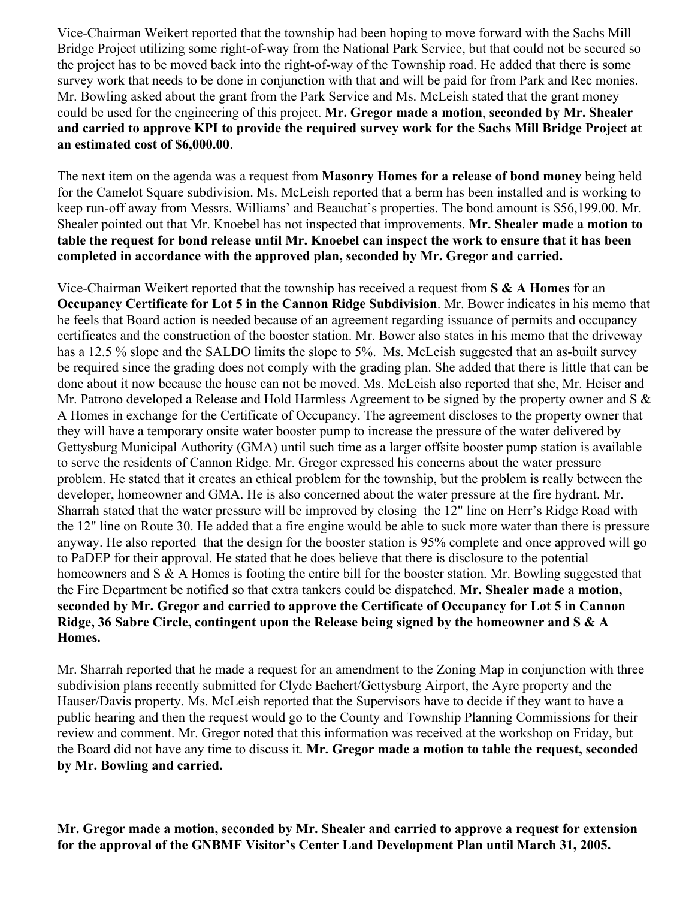Vice-Chairman Weikert reported that the township had been hoping to move forward with the Sachs Mill Bridge Project utilizing some right-of-way from the National Park Service, but that could not be secured so the project has to be moved back into the right-of-way of the Township road. He added that there is some survey work that needs to be done in conjunction with that and will be paid for from Park and Rec monies. Mr. Bowling asked about the grant from the Park Service and Ms. McLeish stated that the grant money could be used for the engineering of this project. **Mr. Gregor made a motion**, **seconded by Mr. Shealer and carried to approve KPI to provide the required survey work for the Sachs Mill Bridge Project at an estimated cost of \$6,000.00**.

The next item on the agenda was a request from **Masonry Homes for a release of bond money** being held for the Camelot Square subdivision. Ms. McLeish reported that a berm has been installed and is working to keep run-off away from Messrs. Williams' and Beauchat's properties. The bond amount is \$56,199.00. Mr. Shealer pointed out that Mr. Knoebel has not inspected that improvements. **Mr. Shealer made a motion to table the request for bond release until Mr. Knoebel can inspect the work to ensure that it has been completed in accordance with the approved plan, seconded by Mr. Gregor and carried.** 

Vice-Chairman Weikert reported that the township has received a request from **S & A Homes** for an **Occupancy Certificate for Lot 5 in the Cannon Ridge Subdivision**. Mr. Bower indicates in his memo that he feels that Board action is needed because of an agreement regarding issuance of permits and occupancy certificates and the construction of the booster station. Mr. Bower also states in his memo that the driveway has a 12.5 % slope and the SALDO limits the slope to 5%. Ms. McLeish suggested that an as-built survey be required since the grading does not comply with the grading plan. She added that there is little that can be done about it now because the house can not be moved. Ms. McLeish also reported that she, Mr. Heiser and Mr. Patrono developed a Release and Hold Harmless Agreement to be signed by the property owner and S & A Homes in exchange for the Certificate of Occupancy. The agreement discloses to the property owner that they will have a temporary onsite water booster pump to increase the pressure of the water delivered by Gettysburg Municipal Authority (GMA) until such time as a larger offsite booster pump station is available to serve the residents of Cannon Ridge. Mr. Gregor expressed his concerns about the water pressure problem. He stated that it creates an ethical problem for the township, but the problem is really between the developer, homeowner and GMA. He is also concerned about the water pressure at the fire hydrant. Mr. Sharrah stated that the water pressure will be improved by closing the 12" line on Herr's Ridge Road with the 12" line on Route 30. He added that a fire engine would be able to suck more water than there is pressure anyway. He also reported that the design for the booster station is 95% complete and once approved will go to PaDEP for their approval. He stated that he does believe that there is disclosure to the potential homeowners and S & A Homes is footing the entire bill for the booster station. Mr. Bowling suggested that the Fire Department be notified so that extra tankers could be dispatched. **Mr. Shealer made a motion, seconded by Mr. Gregor and carried to approve the Certificate of Occupancy for Lot 5 in Cannon Ridge, 36 Sabre Circle, contingent upon the Release being signed by the homeowner and S & A Homes.** 

Mr. Sharrah reported that he made a request for an amendment to the Zoning Map in conjunction with three subdivision plans recently submitted for Clyde Bachert/Gettysburg Airport, the Ayre property and the Hauser/Davis property. Ms. McLeish reported that the Supervisors have to decide if they want to have a public hearing and then the request would go to the County and Township Planning Commissions for their review and comment. Mr. Gregor noted that this information was received at the workshop on Friday, but the Board did not have any time to discuss it. **Mr. Gregor made a motion to table the request, seconded by Mr. Bowling and carried.** 

**Mr. Gregor made a motion, seconded by Mr. Shealer and carried to approve a request for extension for the approval of the GNBMF Visitor's Center Land Development Plan until March 31, 2005.**